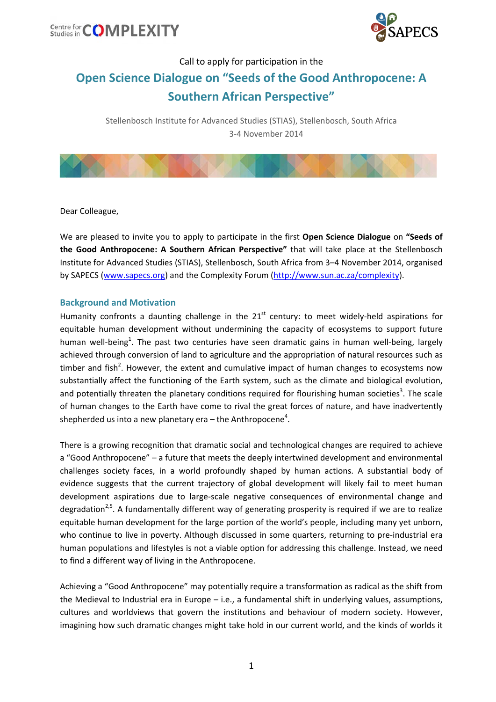



## Call to apply for participation in the **Open Science Dialogue on "Seeds of the Good Anthropocene: A Southern African Perspective"**

Stellenbosch Institute for Advanced Studies (STIAS), Stellenbosch, South Africa 3‐4 November 2014



Dear Colleague,

We are pleased to invite you to apply to participate in the first **Open Science Dialogue** on **"Seeds of the Good Anthropocene: A Southern African Perspective"** that will take place at the Stellenbosch Institute for Advanced Studies (STIAS), Stellenbosch, South Africa from 3–4 November 2014, organised by SAPECS (www.sapecs.org) and the Complexity Forum (http://www.sun.ac.za/complexity).

### **Background and Motivation**

Humanity confronts a daunting challenge in the  $21<sup>st</sup>$  century: to meet widely-held aspirations for equitable human development without undermining the capacity of ecosystems to support future human well-being<sup>1</sup>. The past two centuries have seen dramatic gains in human well-being, largely achieved through conversion of land to agriculture and the appropriation of natural resources such as timber and fish<sup>2</sup>. However, the extent and cumulative impact of human changes to ecosystems now substantially affect the functioning of the Earth system, such as the climate and biological evolution, and potentially threaten the planetary conditions required for flourishing human societies<sup>3</sup>. The scale of human changes to the Earth have come to rival the great forces of nature, and have inadvertently shepherded us into a new planetary era – the Anthropocene<sup>4</sup>.

There is a growing recognition that dramatic social and technological changes are required to achieve a "Good Anthropocene" – a future that meets the deeply intertwined development and environmental challenges society faces, in a world profoundly shaped by human actions. A substantial body of evidence suggests that the current trajectory of global development will likely fail to meet human development aspirations due to large‐scale negative consequences of environmental change and degradation<sup>2,5</sup>. A fundamentally different way of generating prosperity is required if we are to realize equitable human development for the large portion of the world's people, including many yet unborn, who continue to live in poverty. Although discussed in some quarters, returning to pre-industrial era human populations and lifestyles is not a viable option for addressing this challenge. Instead, we need to find a different way of living in the Anthropocene.

Achieving a "Good Anthropocene" may potentially require a transformation as radical as the shift from the Medieval to Industrial era in Europe – i.e., a fundamental shift in underlying values, assumptions, cultures and worldviews that govern the institutions and behaviour of modern society. However, imagining how such dramatic changes might take hold in our current world, and the kinds of worlds it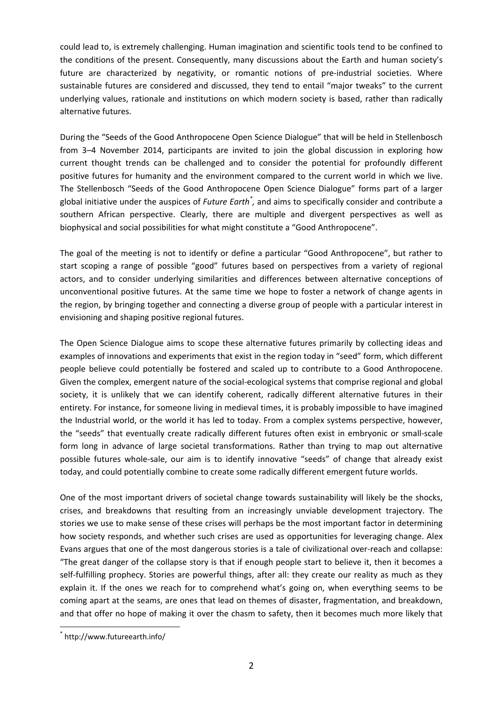could lead to, is extremely challenging. Human imagination and scientific tools tend to be confined to the conditions of the present. Consequently, many discussions about the Earth and human society's future are characterized by negativity, or romantic notions of pre-industrial societies. Where sustainable futures are considered and discussed, they tend to entail "major tweaks" to the current underlying values, rationale and institutions on which modern society is based, rather than radically alternative futures.

During the "Seeds of the Good Anthropocene Open Science Dialogue" that will be held in Stellenbosch from 3–4 November 2014, participants are invited to join the global discussion in exploring how current thought trends can be challenged and to consider the potential for profoundly different positive futures for humanity and the environment compared to the current world in which we live. The Stellenbosch "Seeds of the Good Anthropocene Open Science Dialogue" forms part of a larger global initiative under the auspices of *Future Earth\* ,* and aims to specifically consider and contribute a southern African perspective. Clearly, there are multiple and divergent perspectives as well as biophysical and social possibilities for what might constitute a "Good Anthropocene".

The goal of the meeting is not to identify or define a particular "Good Anthropocene", but rather to start scoping a range of possible "good" futures based on perspectives from a variety of regional actors, and to consider underlying similarities and differences between alternative conceptions of unconventional positive futures. At the same time we hope to foster a network of change agents in the region, by bringing together and connecting a diverse group of people with a particular interest in envisioning and shaping positive regional futures.

The Open Science Dialogue aims to scope these alternative futures primarily by collecting ideas and examples of innovations and experiments that exist in the region today in "seed" form, which different people believe could potentially be fostered and scaled up to contribute to a Good Anthropocene. Given the complex, emergent nature of the social‐ecological systems that comprise regional and global society, it is unlikely that we can identify coherent, radically different alternative futures in their entirety. For instance, for someone living in medieval times, it is probably impossible to have imagined the Industrial world, or the world it has led to today. From a complex systems perspective, however, the "seeds" that eventually create radically different futures often exist in embryonic or small‐scale form long in advance of large societal transformations. Rather than trying to map out alternative possible futures whole-sale, our aim is to identify innovative "seeds" of change that already exist today, and could potentially combine to create some radically different emergent future worlds.

One of the most important drivers of societal change towards sustainability will likely be the shocks, crises, and breakdowns that resulting from an increasingly unviable development trajectory. The stories we use to make sense of these crises will perhaps be the most important factor in determining how society responds, and whether such crises are used as opportunities for leveraging change. Alex Evans argues that one of the most dangerous stories is a tale of civilizational over‐reach and collapse: "The great danger of the collapse story is that if enough people start to believe it, then it becomes a self-fulfilling prophecy. Stories are powerful things, after all: they create our reality as much as they explain it. If the ones we reach for to comprehend what's going on, when everything seems to be coming apart at the seams, are ones that lead on themes of disaster, fragmentation, and breakdown, and that offer no hope of making it over the chasm to safety, then it becomes much more likely that

<sup>\*</sup> http://www.futureearth.info/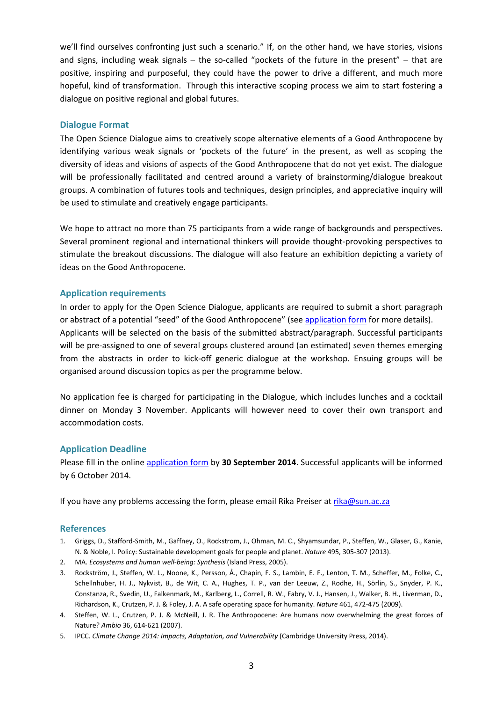we'll find ourselves confronting just such a scenario." If, on the other hand, we have stories, visions and signs, including weak signals – the so-called "pockets of the future in the present" – that are positive, inspiring and purposeful, they could have the power to drive a different, and much more hopeful, kind of transformation. Through this interactive scoping process we aim to start fostering a dialogue on positive regional and global futures.

### **Dialogue Format**

The Open Science Dialogue aims to creatively scope alternative elements of a Good Anthropocene by identifying various weak signals or 'pockets of the future' in the present, as well as scoping the diversity of ideas and visions of aspects of the Good Anthropocene that do not yet exist. The dialogue will be professionally facilitated and centred around a variety of brainstorming/dialogue breakout groups. A combination of futures tools and techniques, design principles, and appreciative inquiry will be used to stimulate and creatively engage participants.

We hope to attract no more than 75 participants from a wide range of backgrounds and perspectives. Several prominent regional and international thinkers will provide thought‐provoking perspectives to stimulate the breakout discussions. The dialogue will also feature an exhibition depicting a variety of ideas on the Good Anthropocene.

### **Application requirements**

In order to apply for the Open Science Dialogue, applicants are required to submit a short paragraph or abstract of a potential "seed" of the Good Anthropocene" (see [application](https://docs.google.com/forms/d/18H6re0ulJSLGbOS67zoXDpbOjmGxAneqv0EXVHqDlvw/viewform?c=0&w=1&usp=mail_form_link) form for more details). Applicants will be selected on the basis of the submitted abstract/paragraph. Successful participants will be pre-assigned to one of several groups clustered around (an estimated) seven themes emerging from the abstracts in order to kick‐off generic dialogue at the workshop. Ensuing groups will be organised around discussion topics as per the programme below.

No application fee is charged for participating in the Dialogue, which includes lunches and a cocktail dinner on Monday 3 November. Applicants will however need to cover their own transport and accommodation costs.

### **Application Deadline**

Please fill in the online [application](https://docs.google.com/forms/d/18H6re0ulJSLGbOS67zoXDpbOjmGxAneqv0EXVHqDlvw/viewform?c=0&w=1&usp=mail_form_link) form by **30 September 2014**. Successful applicants will be informed by 6 October 2014.

If you have any problems accessing the form, please email Rika Preiser at rika@sun.ac.za

### **References**

- 1. Griggs, D., Stafford‐Smith, M., Gaffney, O., Rockstrom, J., Ohman, M. C., Shyamsundar, P., Steffen, W., Glaser, G., Kanie, N. & Noble, I. Policy: Sustainable development goals for people and planet. *Nature* 495, 305‐307 (2013).
- 2. MA. *Ecosystems and human well‐being: Synthesis* (Island Press, 2005).
- 3. Rockström, J., Steffen, W. L., Noone, K., Persson, Å., Chapin, F. S., Lambin, E. F., Lenton, T. M., Scheffer, M., Folke, C., Schellnhuber, H. J., Nykvist, B., de Wit, C. A., Hughes, T. P., van der Leeuw, Z., Rodhe, H., Sörlin, S., Snyder, P. K., Constanza, R., Svedin, U., Falkenmark, M., Karlberg, L., Correll, R. W., Fabry, V. J., Hansen, J., Walker, B. H., Liverman, D., Richardson, K., Crutzen, P. J. & Foley, J. A. A safe operating space for humanity. *Nature* 461, 472‐475 (2009).
- 4. Steffen, W. L., Crutzen, P. J. & McNeill, J. R. The Anthropocene: Are humans now overwhelming the great forces of Nature? *Ambio* 36, 614‐621 (2007).
- 5. IPCC. *Climate Change 2014: Impacts, Adaptation, and Vulnerability* (Cambridge University Press, 2014).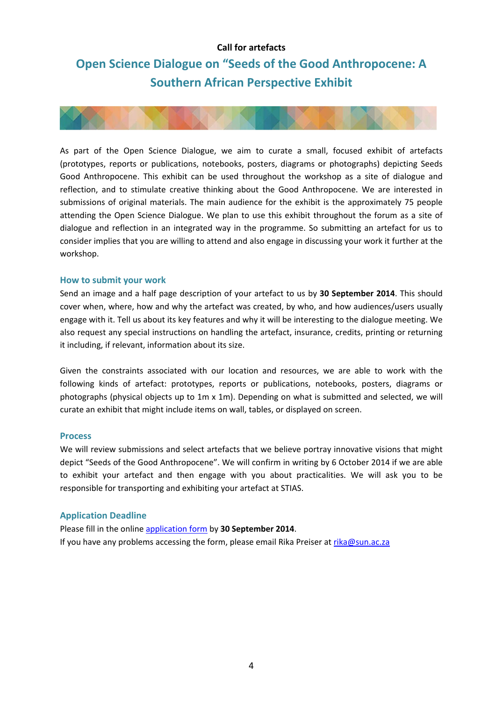### **Call for artefacts**

## **Open Science Dialogue on "Seeds of the Good Anthropocene: A Southern African Perspective Exhibit**



As part of the Open Science Dialogue, we aim to curate a small, focused exhibit of artefacts (prototypes, reports or publications, notebooks, posters, diagrams or photographs) depicting Seeds Good Anthropocene. This exhibit can be used throughout the workshop as a site of dialogue and reflection, and to stimulate creative thinking about the Good Anthropocene. We are interested in submissions of original materials. The main audience for the exhibit is the approximately 75 people attending the Open Science Dialogue. We plan to use this exhibit throughout the forum as a site of dialogue and reflection in an integrated way in the programme. So submitting an artefact for us to consider implies that you are willing to attend and also engage in discussing your work it further at the workshop.

### **How to submit your work**

Send an image and a half page description of your artefact to us by **30 September 2014**. This should cover when, where, how and why the artefact was created, by who, and how audiences/users usually engage with it. Tell us about its key features and why it will be interesting to the dialogue meeting. We also request any special instructions on handling the artefact, insurance, credits, printing or returning it including, if relevant, information about its size.

Given the constraints associated with our location and resources, we are able to work with the following kinds of artefact: prototypes, reports or publications, notebooks, posters, diagrams or photographs (physical objects up to 1m x 1m). Depending on what is submitted and selected, we will curate an exhibit that might include items on wall, tables, or displayed on screen.

### **Process**

We will review submissions and select artefacts that we believe portray innovative visions that might depict "Seeds of the Good Anthropocene". We will confirm in writing by 6 October 2014 if we are able to exhibit your artefact and then engage with you about practicalities. We will ask you to be responsible for transporting and exhibiting your artefact at STIAS.

### **Application Deadline**

Please fill in the online application form by **30 September 2014**. If you have any problems accessing the form, please email Rika Preiser at rika@sun.ac.za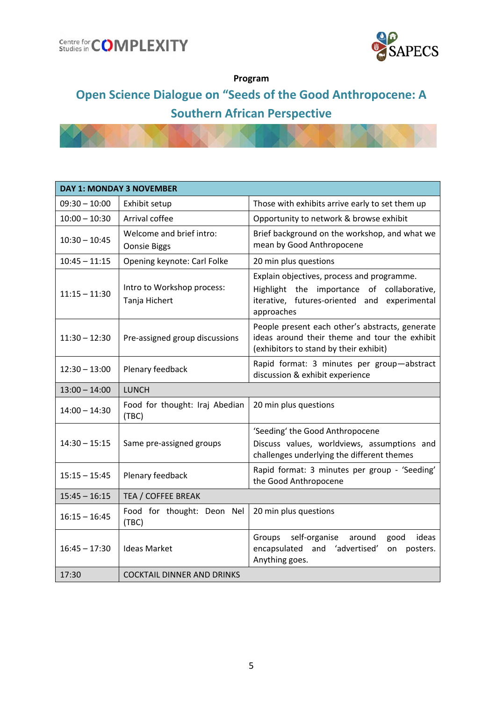



## **Program**

# **Open Science Dialogue on "Seeds of the Good Anthropocene: A Southern African Perspective**

| <b>DAY 1: MONDAY 3 NOVEMBER</b> |                                                 |                                                                                                                                                        |
|---------------------------------|-------------------------------------------------|--------------------------------------------------------------------------------------------------------------------------------------------------------|
| $09:30 - 10:00$                 | Exhibit setup                                   | Those with exhibits arrive early to set them up                                                                                                        |
| $10:00 - 10:30$                 | Arrival coffee                                  | Opportunity to network & browse exhibit                                                                                                                |
| $10:30 - 10:45$                 | Welcome and brief intro:<br><b>Oonsie Biggs</b> | Brief background on the workshop, and what we<br>mean by Good Anthropocene                                                                             |
| $10:45 - 11:15$                 | Opening keynote: Carl Folke                     | 20 min plus questions                                                                                                                                  |
| $11:15 - 11:30$                 | Intro to Workshop process:<br>Tanja Hichert     | Explain objectives, process and programme.<br>Highlight the importance of collaborative,<br>iterative, futures-oriented and experimental<br>approaches |
| $11:30 - 12:30$                 | Pre-assigned group discussions                  | People present each other's abstracts, generate<br>ideas around their theme and tour the exhibit<br>(exhibitors to stand by their exhibit)             |
| $12:30 - 13:00$                 | Plenary feedback                                | Rapid format: 3 minutes per group-abstract<br>discussion & exhibit experience                                                                          |
| $13:00 - 14:00$                 | <b>LUNCH</b>                                    |                                                                                                                                                        |
| $14:00 - 14:30$                 | Food for thought: Iraj Abedian<br>(TBC)         | 20 min plus questions                                                                                                                                  |
| $14:30 - 15:15$                 | Same pre-assigned groups                        | 'Seeding' the Good Anthropocene<br>Discuss values, worldviews, assumptions and<br>challenges underlying the different themes                           |
| $15:15 - 15:45$                 | Plenary feedback                                | Rapid format: 3 minutes per group - 'Seeding'<br>the Good Anthropocene                                                                                 |
| $15:45 - 16:15$                 | TEA / COFFEE BREAK                              |                                                                                                                                                        |
| $16:15 - 16:45$                 | Food for thought: Deon Nel<br>(TBC)             | 20 min plus questions                                                                                                                                  |
| $16:45 - 17:30$                 | <b>Ideas Market</b>                             | self-organise<br>ideas<br>Groups<br>around<br>good<br>encapsulated<br>and 'advertised'<br>posters.<br>on<br>Anything goes.                             |
| 17:30                           | <b>COCKTAIL DINNER AND DRINKS</b>               |                                                                                                                                                        |